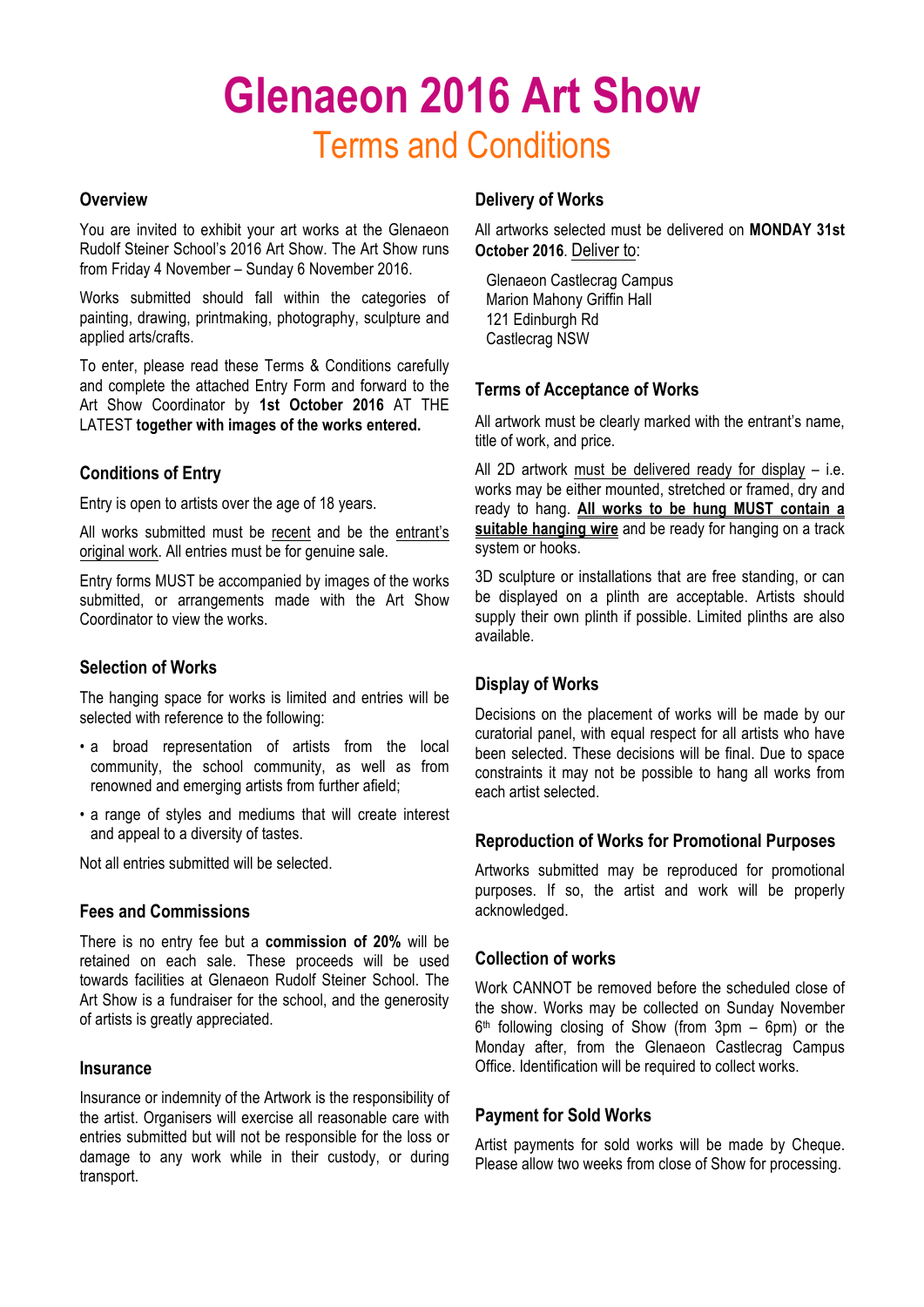## **Glenaeon 2016 Art Show** Terms and Conditions

#### **Overview**

You are invited to exhibit your art works at the Glenaeon Rudolf Steiner School's 2016 Art Show. The Art Show runs from Friday 4 November – Sunday 6 November 2016.

Works submitted should fall within the categories of painting, drawing, printmaking, photography, sculpture and applied arts/crafts.

To enter, please read these Terms & Conditions carefully and complete the attached Entry Form and forward to the Art Show Coordinator by **1st October 2016** AT THE LATEST **together with images of the works entered.**

#### **Conditions of Entry**

Entry is open to artists over the age of 18 years.

All works submitted must be recent and be the entrant's original work. All entries must be for genuine sale.

Entry forms MUST be accompanied by images of the works submitted, or arrangements made with the Art Show Coordinator to view the works.

#### **Selection of Works**

The hanging space for works is limited and entries will be selected with reference to the following:

- a broad representation of artists from the local community, the school community, as well as from renowned and emerging artists from further afield;
- a range of styles and mediums that will create interest and appeal to a diversity of tastes.

Not all entries submitted will be selected.

#### **Fees and Commissions**

There is no entry fee but a **commission of 20%** will be retained on each sale. These proceeds will be used towards facilities at Glenaeon Rudolf Steiner School. The Art Show is a fundraiser for the school, and the generosity of artists is greatly appreciated.

#### **Insurance**

Insurance or indemnity of the Artwork is the responsibility of the artist. Organisers will exercise all reasonable care with entries submitted but will not be responsible for the loss or damage to any work while in their custody, or during transport.

#### **Delivery of Works**

All artworks selected must be delivered on **MONDAY 31st October 2016**. Deliver to:

Glenaeon Castlecrag Campus Marion Mahony Griffin Hall 121 Edinburgh Rd Castlecrag NSW

#### **Terms of Acceptance of Works**

All artwork must be clearly marked with the entrant's name, title of work, and price.

All 2D artwork must be delivered ready for display – i.e. works may be either mounted, stretched or framed, dry and ready to hang. **All works to be hung MUST contain a suitable hanging wire** and be ready for hanging on a track system or hooks.

3D sculpture or installations that are free standing, or can be displayed on a plinth are acceptable. Artists should supply their own plinth if possible. Limited plinths are also available.

#### **Display of Works**

Decisions on the placement of works will be made by our curatorial panel, with equal respect for all artists who have been selected. These decisions will be final. Due to space constraints it may not be possible to hang all works from each artist selected.

#### **Reproduction of Works for Promotional Purposes**

Artworks submitted may be reproduced for promotional purposes. If so, the artist and work will be properly acknowledged.

#### **Collection of works**

Work CANNOT be removed before the scheduled close of the show. Works may be collected on Sunday November  $6<sup>th</sup>$  following closing of Show (from 3pm – 6pm) or the Monday after, from the Glenaeon Castlecrag Campus Office. Identification will be required to collect works.

#### **Payment for Sold Works**

Artist payments for sold works will be made by Cheque. Please allow two weeks from close of Show for processing.